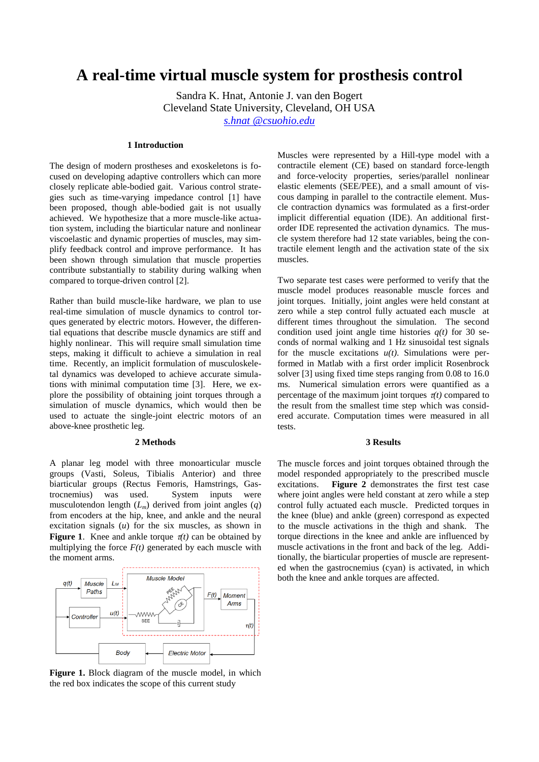# **A real-time virtual muscle system for prosthesis control**

Sandra K. Hnat, Antonie J. van den Bogert Cleveland State University, Cleveland, OH USA *s.hnat [@csuohio.edu](mailto:first.author@osu.edu)*

### **1 Introduction**

The design of modern prostheses and exoskeletons is focused on developing adaptive controllers which can more closely replicate able-bodied gait. Various control strategies such as time-varying impedance control [1] have been proposed, though able-bodied gait is not usually achieved. We hypothesize that a more muscle-like actuation system, including the biarticular nature and nonlinear viscoelastic and dynamic properties of muscles, may simplify feedback control and improve performance. It has been shown through simulation that muscle properties contribute substantially to stability during walking when compared to torque-driven control [2].

Rather than build muscle-like hardware, we plan to use real-time simulation of muscle dynamics to control torques generated by electric motors. However, the differential equations that describe muscle dynamics are stiff and highly nonlinear. This will require small simulation time steps, making it difficult to achieve a simulation in real time. Recently, an implicit formulation of musculoskeletal dynamics was developed to achieve accurate simulations with minimal computation time [3]. Here, we explore the possibility of obtaining joint torques through a simulation of muscle dynamics, which would then be used to actuate the single-joint electric motors of an above-knee prosthetic leg.

## **2 Methods**

A planar leg model with three monoarticular muscle groups (Vasti, Soleus, Tibialis Anterior) and three biarticular groups (Rectus Femoris, Hamstrings, Gastrocnemius) was used. System inputs were musculotendon length (*Lm*) derived from joint angles (*q*) from encoders at the hip, knee, and ankle and the neural excitation signals (*u*) for the six muscles, as shown in **Figure 1.** Knee and ankle torque  $\tau(t)$  can be obtained by multiplying the force  $F(t)$  generated by each muscle with the moment arms.



**Figure 1.** Block diagram of the muscle model, in which the red box indicates the scope of this current study

Muscles were represented by a Hill-type model with a contractile element (CE) based on standard force-length and force-velocity properties, series/parallel nonlinear elastic elements (SEE/PEE), and a small amount of viscous damping in parallel to the contractile element. Muscle contraction dynamics was formulated as a first-order implicit differential equation (IDE). An additional firstorder IDE represented the activation dynamics. The muscle system therefore had 12 state variables, being the contractile element length and the activation state of the six muscles.

Two separate test cases were performed to verify that the muscle model produces reasonable muscle forces and joint torques. Initially, joint angles were held constant at zero while a step control fully actuated each muscle at different times throughout the simulation. The second condition used joint angle time histories  $q(t)$  for 30 seconds of normal walking and 1 Hz sinusoidal test signals for the muscle excitations  $u(t)$ . Simulations were performed in Matlab with a first order implicit Rosenbrock solver [3] using fixed time steps ranging from 0.08 to 16.0 ms. Numerical simulation errors were quantified as a percentage of the maximum joint torques  $\tau(t)$  compared to the result from the smallest time step which was considered accurate. Computation times were measured in all tests.

## **3 Results**

The muscle forces and joint torques obtained through the model responded appropriately to the prescribed muscle excitations. **Figure 2** demonstrates the first test case where joint angles were held constant at zero while a step control fully actuated each muscle. Predicted torques in the knee (blue) and ankle (green) correspond as expected to the muscle activations in the thigh and shank. The torque directions in the knee and ankle are influenced by muscle activations in the front and back of the leg. Additionally, the biarticular properties of muscle are represented when the gastrocnemius (cyan) is activated, in which both the knee and ankle torques are affected.